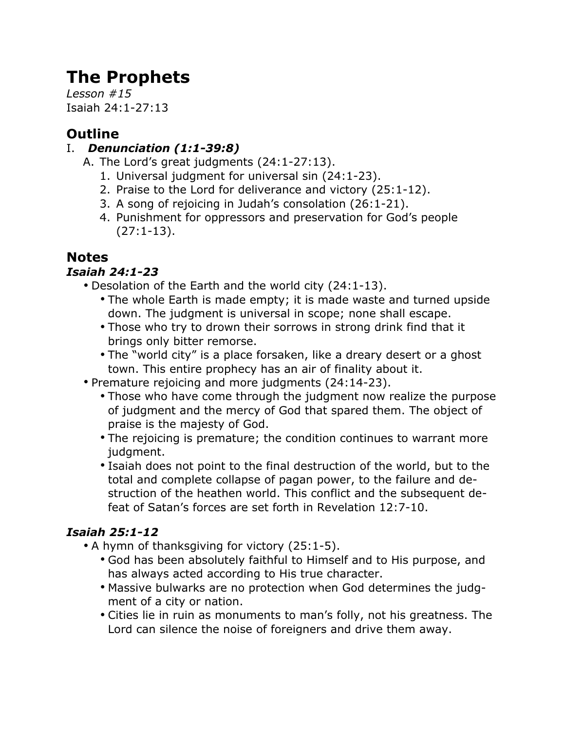# **The Prophets**

*Lesson #15* Isaiah 24:1-27:13

# **Outline**

## I. *Denunciation (1:1-39:8)*

- A. The Lord's great judgments (24:1-27:13).
	- 1. Universal judgment for universal sin (24:1-23).
	- 2. Praise to the Lord for deliverance and victory (25:1-12).
	- 3. A song of rejoicing in Judah's consolation (26:1-21).
	- 4. Punishment for oppressors and preservation for God's people (27:1-13).

# **Notes**

## *Isaiah 24:1-23*

- Desolation of the Earth and the world city (24:1-13).
	- The whole Earth is made empty; it is made waste and turned upside down. The judgment is universal in scope; none shall escape.
	- Those who try to drown their sorrows in strong drink find that it brings only bitter remorse.
	- The "world city" is a place forsaken, like a dreary desert or a ghost town. This entire prophecy has an air of finality about it.
- Premature rejoicing and more judgments (24:14-23).
	- Those who have come through the judgment now realize the purpose of judgment and the mercy of God that spared them. The object of praise is the majesty of God.
	- The rejoicing is premature; the condition continues to warrant more judgment.
	- Isaiah does not point to the final destruction of the world, but to the total and complete collapse of pagan power, to the failure and destruction of the heathen world. This conflict and the subsequent defeat of Satan's forces are set forth in Revelation 12:7-10.

## *Isaiah 25:1-12*

- A hymn of thanksgiving for victory (25:1-5).
	- God has been absolutely faithful to Himself and to His purpose, and has always acted according to His true character.
	- Massive bulwarks are no protection when God determines the judgment of a city or nation.
	- Cities lie in ruin as monuments to man's folly, not his greatness. The Lord can silence the noise of foreigners and drive them away.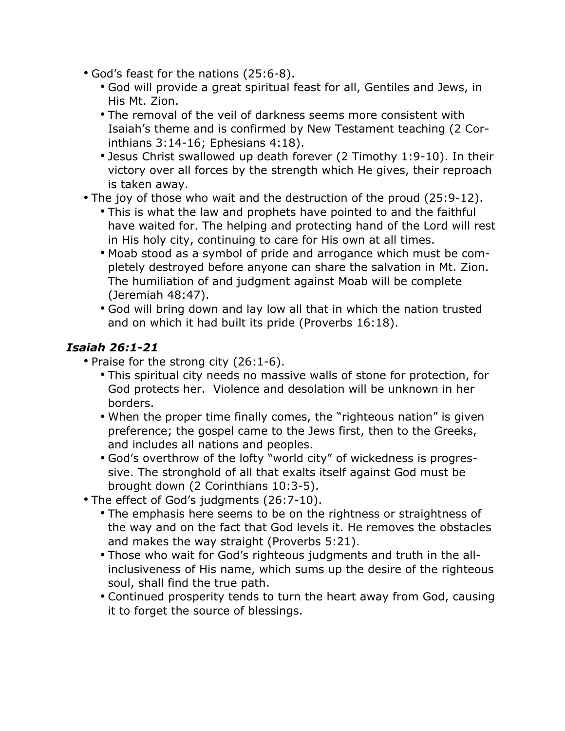- God's feast for the nations (25:6-8).
	- God will provide a great spiritual feast for all, Gentiles and Jews, in His Mt. Zion.
	- The removal of the veil of darkness seems more consistent with Isaiah's theme and is confirmed by New Testament teaching (2 Corinthians 3:14-16; Ephesians 4:18).
	- Jesus Christ swallowed up death forever (2 Timothy 1:9-10). In their victory over all forces by the strength which He gives, their reproach is taken away.
- The joy of those who wait and the destruction of the proud (25:9-12).
	- This is what the law and prophets have pointed to and the faithful have waited for. The helping and protecting hand of the Lord will rest in His holy city, continuing to care for His own at all times.
	- Moab stood as a symbol of pride and arrogance which must be completely destroyed before anyone can share the salvation in Mt. Zion. The humiliation of and judgment against Moab will be complete (Jeremiah 48:47).
	- God will bring down and lay low all that in which the nation trusted and on which it had built its pride (Proverbs 16:18).

#### *Isaiah 26:1-21*

- Praise for the strong city (26:1-6).
	- This spiritual city needs no massive walls of stone for protection, for God protects her. Violence and desolation will be unknown in her borders.
	- When the proper time finally comes, the "righteous nation" is given preference; the gospel came to the Jews first, then to the Greeks, and includes all nations and peoples.
	- God's overthrow of the lofty "world city" of wickedness is progressive. The stronghold of all that exalts itself against God must be brought down (2 Corinthians 10:3-5).
- The effect of God's judgments (26:7-10).
	- The emphasis here seems to be on the rightness or straightness of the way and on the fact that God levels it. He removes the obstacles and makes the way straight (Proverbs 5:21).
	- Those who wait for God's righteous judgments and truth in the allinclusiveness of His name, which sums up the desire of the righteous soul, shall find the true path.
	- Continued prosperity tends to turn the heart away from God, causing it to forget the source of blessings.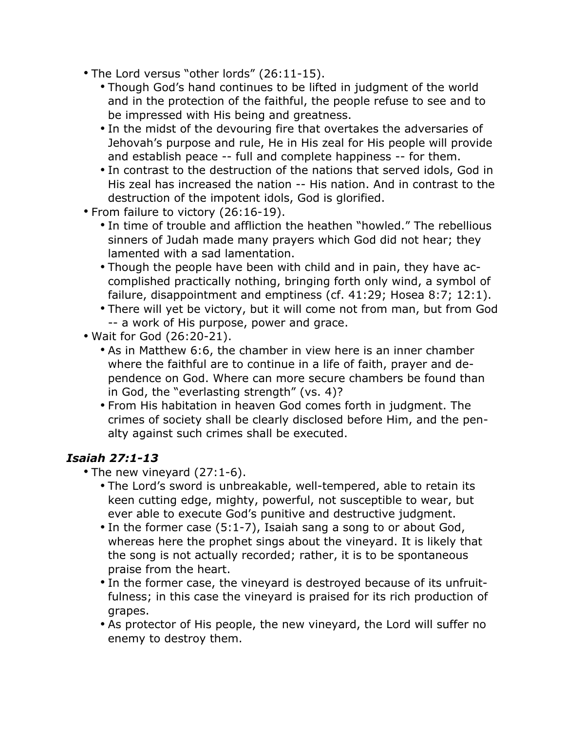- The Lord versus "other lords" (26:11-15).
	- Though God's hand continues to be lifted in judgment of the world and in the protection of the faithful, the people refuse to see and to be impressed with His being and greatness.
	- In the midst of the devouring fire that overtakes the adversaries of Jehovah's purpose and rule, He in His zeal for His people will provide and establish peace -- full and complete happiness -- for them.
	- In contrast to the destruction of the nations that served idols, God in His zeal has increased the nation -- His nation. And in contrast to the destruction of the impotent idols, God is glorified.
- From failure to victory (26:16-19).
	- In time of trouble and affliction the heathen "howled." The rebellious sinners of Judah made many prayers which God did not hear; they lamented with a sad lamentation.
	- Though the people have been with child and in pain, they have accomplished practically nothing, bringing forth only wind, a symbol of failure, disappointment and emptiness (cf. 41:29; Hosea 8:7; 12:1).
	- There will yet be victory, but it will come not from man, but from God -- a work of His purpose, power and grace.
- Wait for God (26:20-21).
	- As in Matthew 6:6, the chamber in view here is an inner chamber where the faithful are to continue in a life of faith, prayer and dependence on God. Where can more secure chambers be found than in God, the "everlasting strength" (vs. 4)?
	- From His habitation in heaven God comes forth in judgment. The crimes of society shall be clearly disclosed before Him, and the penalty against such crimes shall be executed.

#### *Isaiah 27:1-13*

- The new vineyard (27:1-6).
	- The Lord's sword is unbreakable, well-tempered, able to retain its keen cutting edge, mighty, powerful, not susceptible to wear, but ever able to execute God's punitive and destructive judgment.
	- In the former case (5:1-7), Isaiah sang a song to or about God, whereas here the prophet sings about the vineyard. It is likely that the song is not actually recorded; rather, it is to be spontaneous praise from the heart.
	- In the former case, the vineyard is destroyed because of its unfruitfulness; in this case the vineyard is praised for its rich production of grapes.
	- As protector of His people, the new vineyard, the Lord will suffer no enemy to destroy them.